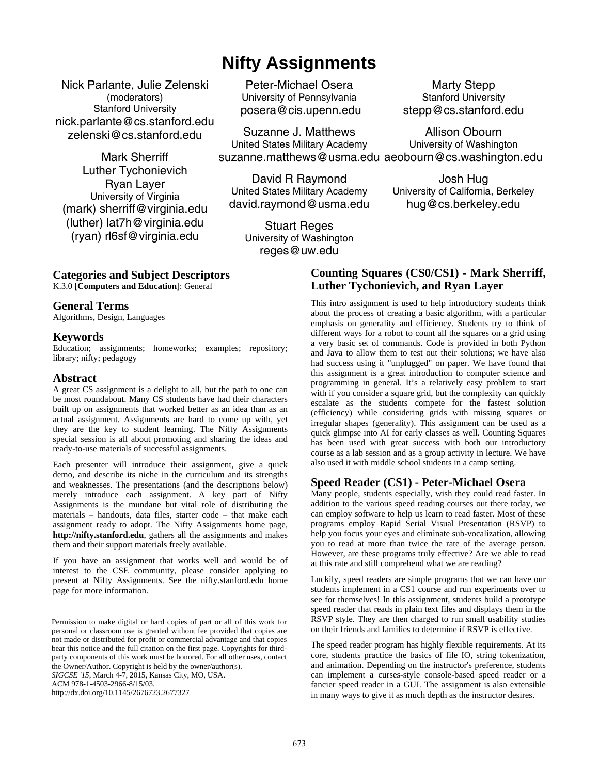# **Nifty Assignments**

Nick Parlante, Julie Zelenski (moderators) Stanford University nick.parlante@cs.stanford.edu zelenski@cs.stanford.edu

Mark Sherriff Luther Tychonievich Ryan Layer University of Virginia (mark) sherriff@virginia.edu (luther) lat7h@virginia.edu (ryan) rl6sf@virginia.edu

Peter-Michael Osera University of Pennsylvania posera@cis.upenn.edu

Suzanne J. Matthews United States Military Academy suzanne.matthews@usma.edu aeobourn@cs.washington.edu

David R Raymond United States Military Academy david.raymond@usma.edu

> Stuart Reges University of Washington reges@uw.edu

Marty Stepp Stanford University stepp@cs.stanford.edu

Allison Obourn University of Washington

> Josh Hug University of California, Berkeley hug@cs.berkeley.edu

### **Categories and Subject Descriptors**  K.3.0 [**Computers and Education**]: General

## **General Terms**

Algorithms, Design, Languages

### **Keywords**

Education; assignments; homeworks; examples; repository; library; nifty; pedagogy

## **Abstract**

A great CS assignment is a delight to all, but the path to one can be most roundabout. Many CS students have had their characters built up on assignments that worked better as an idea than as an actual assignment. Assignments are hard to come up with, yet they are the key to student learning. The Nifty Assignments special session is all about promoting and sharing the ideas and ready-to-use materials of successful assignments.

Each presenter will introduce their assignment, give a quick demo, and describe its niche in the curriculum and its strengths and weaknesses. The presentations (and the descriptions below) merely introduce each assignment. A key part of Nifty Assignments is the mundane but vital role of distributing the materials – handouts, data files, starter code – that make each assignment ready to adopt. The Nifty Assignments home page, **http://nifty.stanford.edu**, gathers all the assignments and makes them and their support materials freely available.

If you have an assignment that works well and would be of interest to the CSE community, please consider applying to present at Nifty Assignments. See the nifty.stanford.edu home page for more information.

Permission to make digital or hard copies of part or all of this work for personal or classroom use is granted without fee provided that copies are not made or distributed for profit or commercial advantage and that copies bear this notice and the full citation on the first page. Copyrights for thirdparty components of this work must be honored. For all other uses, contact the Owner/Author. Copyright is held by the owner/author(s). *SIGCSE '15*, March 4-7, 2015, Kansas City, MO, USA. ACM 978-1-4503-2966-8/15/03.

http://dx.doi.org/10.1145/2676723.2677327

# **Counting Squares (CS0/CS1) - Mark Sherriff, Luther Tychonievich, and Ryan Layer**

This intro assignment is used to help introductory students think about the process of creating a basic algorithm, with a particular emphasis on generality and efficiency. Students try to think of different ways for a robot to count all the squares on a grid using a very basic set of commands. Code is provided in both Python and Java to allow them to test out their solutions; we have also had success using it "unplugged" on paper. We have found that this assignment is a great introduction to computer science and programming in general. It's a relatively easy problem to start with if you consider a square grid, but the complexity can quickly escalate as the students compete for the fastest solution (efficiency) while considering grids with missing squares or irregular shapes (generality). This assignment can be used as a quick glimpse into AI for early classes as well. Counting Squares has been used with great success with both our introductory course as a lab session and as a group activity in lecture. We have also used it with middle school students in a camp setting.

## **Speed Reader (CS1) - Peter-Michael Osera**

Many people, students especially, wish they could read faster. In addition to the various speed reading courses out there today, we can employ software to help us learn to read faster. Most of these programs employ Rapid Serial Visual Presentation (RSVP) to help you focus your eyes and eliminate sub-vocalization, allowing you to read at more than twice the rate of the average person. However, are these programs truly effective? Are we able to read at this rate and still comprehend what we are reading?

Luckily, speed readers are simple programs that we can have our students implement in a CS1 course and run experiments over to see for themselves! In this assignment, students build a prototype speed reader that reads in plain text files and displays them in the RSVP style. They are then charged to run small usability studies on their friends and families to determine if RSVP is effective.

The speed reader program has highly flexible requirements. At its core, students practice the basics of file IO, string tokenization, and animation. Depending on the instructor's preference, students can implement a curses-style console-based speed reader or a fancier speed reader in a GUI. The assignment is also extensible in many ways to give it as much depth as the instructor desires.